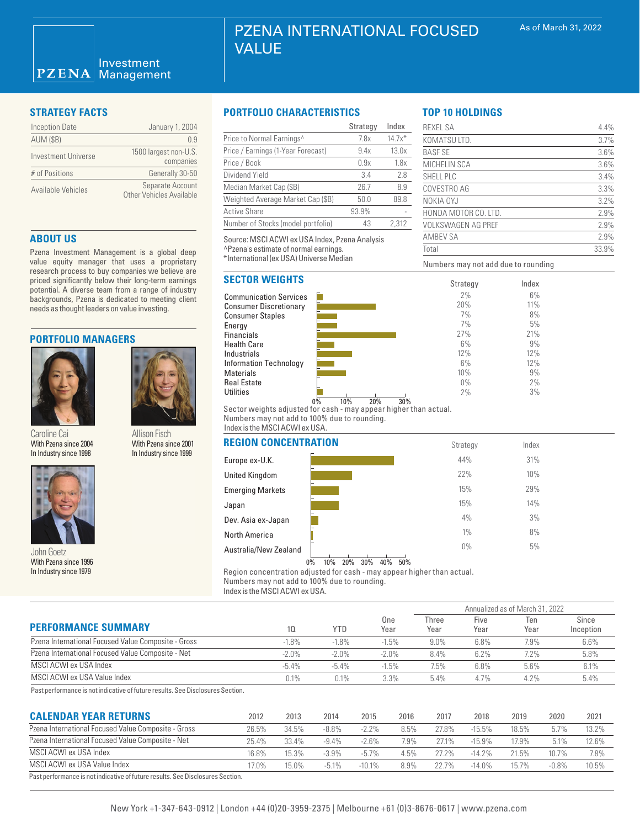| <b>Inception Date</b> | January 1, 2004                                     |
|-----------------------|-----------------------------------------------------|
| <b>AUM (\$B)</b>      | N 9                                                 |
| Investment Universe   | 1500 largest non-U.S.<br>companies                  |
| # of Positions        | Generally 30-50                                     |
| Available Vehicles    | Separate Account<br><b>Other Vehicles Available</b> |

### **ABOUT US**

Pzena Investment Management is a global deep value equity manager that uses a proprietary research process to buy companies we believe are priced significantly below their long-term earnings potential. A diverse team from a range of industry backgrounds, Pzena is dedicated to meeting client needs as thought leaders on value investing.

#### **PORTFOLIO MANAGERS**



Caroline Cai With Pzena since 2004 In Industry since 1998



Australia/New Zealand John Goetz With Pzena since 1996 In Industry since 1979

# **STRATEGY FACTS PORTFOLIO CHARACTERISTICS**

|                                    | Strategy | Index    |
|------------------------------------|----------|----------|
| Price to Normal Earnings^          | 7.8x     | $14.7x*$ |
| Price / Earnings (1-Year Forecast) | 9.4x     | 13.0x    |
| Price / Book                       | 0.9x     | 1.8x     |
| Dividend Yield                     | 3.4      | 2.8      |
| Median Market Cap (\$B)            | 26.7     | 8.9      |
| Weighted Average Market Cap (\$B)  | 50.0     | 89.8     |
| <b>Active Share</b>                | 93.9%    |          |
| Number of Stocks (model portfolio) | 43       | 2.312    |

Source: MSCI ACWI ex USA Index, Pzena Analysis ^Pzena's estimate of normal earnings. \*International (ex USA) Universe Median

# **SECTOR WEIGHTS**





Numbers may not add due to rounding

REXEL SA 4.4% KOMATSU LTD. 3.7%  $BASESE$  3.6% MICHELIN SCA 3.6% SHELL PLC 3.4% COVESTRO AG 3.3% NOKIA OYJ 3.2% HONDA MOTOR CO. LTD. 2.9% VOLKSWAGEN AG PREF 2.9% AMBEV SA 2.9% Total 33.9%

> Index 6% 11% 8% 5% 21% 9% 12% 12% 9% 2% 3%

**TOP 10 HOLDINGS**

0% 10% 20% 30% Sector weights adjusted for cash - may appear higher than actual. Numbers may not add to 100% due to rounding. Index is the MSCI ACWI ex USA.

| <b>REGION CONCENTRATION</b> | Strategy | Index |
|-----------------------------|----------|-------|
| Europe ex-U.K.              | 44%      | 31%   |
| <b>United Kingdom</b>       | 22%      | 10%   |
| <b>Emerging Markets</b>     | 15%      | 29%   |
| Japan                       | 15%      | 14%   |
| Dev. Asia ex-Japan          | 4%       | 3%    |
| North America               | $1\%$    | 8%    |
| Australia/New Zealand       | $0\%$    | 5%    |

0% 10% 20% 30% 40% 50%

Region concentration adjusted for cash - may appear higher than actual. Numbers may not add to 100% due to rounding.

Index is the MSCI ACWI ex USA.

|                                                     |          |            |             | Annualized as of March 31, 2022 |              |             |                    |  |
|-----------------------------------------------------|----------|------------|-------------|---------------------------------|--------------|-------------|--------------------|--|
| <b>PERFORMANCE SUMMARY</b>                          | 10       | <b>YTD</b> | One<br>Year | Three<br>Year                   | Five<br>Year | Ten<br>Year | Since<br>Inception |  |
| Pzena International Focused Value Composite - Gross | $-1.8%$  | $-1.8%$    | $-1.5%$     | $9.0\%$                         | 6.8%         | 7.9%        | 6.6%               |  |
| Pzena International Focused Value Composite - Net   | $-2.0\%$ | $-2.0\%$   | $-2.0%$     | 8.4%                            | 6.2%         | 7.2%        | 5.8%               |  |
| MSCI ACWI ex USA Index                              | $-5.4\%$ | $-5.4\%$   | $-1.5%$     | 7.5%                            | 6.8%         | 5.6%        | 6.1%               |  |
| MSCI ACWI ex USA Value Index                        | 0.1%     | 0.1%       | 3.3%        | $5.4\%$                         | 4.7%         | 4.2%        | 5.4%               |  |

Past performance is not indicative of future results. See Disclosures Section.

Allison Fisch With Pzena since 2001 In Industry since 1999

| <b>CALENDAR YEAR RETURNS</b>                                                   | 2012     | 2013  | 2014     | 2015      | 2016 | 2017  | 2018      | 2019     | 2020     | 2021  |
|--------------------------------------------------------------------------------|----------|-------|----------|-----------|------|-------|-----------|----------|----------|-------|
| Pzena International Focused Value Composite - Gross                            | 26.5%    | 34.5% | $-8.8\%$ | $-2.2\%$  | 8.5% | 27.8% | $-15.5%$  | 18.5%    | 5.7%     | 13.2% |
| Pzena International Focused Value Composite - Net                              | 25.4%    | 33.4% | $-9.4%$  | $-2.6\%$  | 7.9% | 27.1% | $-15.9%$  | 17.9%    | 5.1%     | 12.6% |
| MSCI ACWI ex USA Index                                                         | 16.8%    | 15.3% | $-3.9%$  | $-5.7\%$  | 4.5% | 272%  | $-14.2%$  | $21.5\%$ | $10.7\%$ | 7.8%  |
| MSCI ACWI ex USA Value Index                                                   | $17.0\%$ | 15.0% | $-5.1\%$ | $-10.1\%$ | 8.9% | 22.7% | $-14.0\%$ | 15.7%    | $-0.8%$  | 10.5% |
| Past performance is not indicative of future results. See Disclosures Section. |          |       |          |           |      |       |           |          |          |       |

# New York +1-347-643-0912 | London +44 (0)20-3959-2375 | Melbourne +61 (0)3-8676-0617 | www.pzena.com